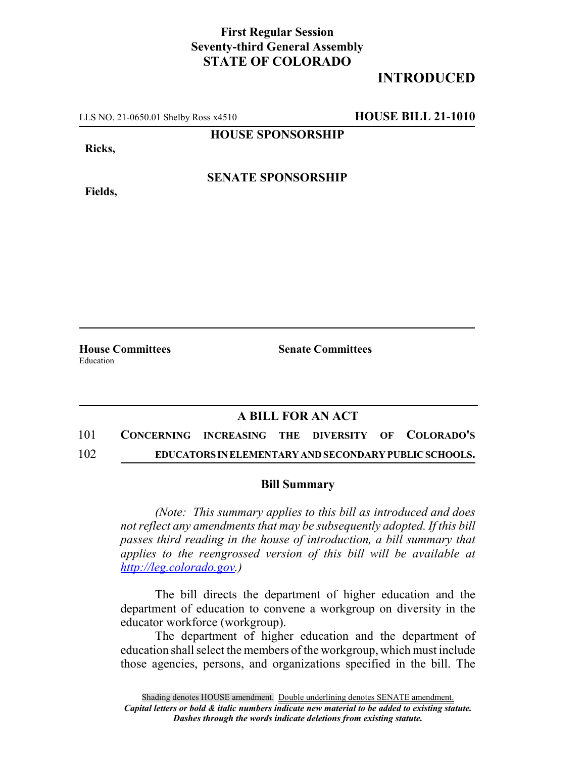## **First Regular Session Seventy-third General Assembly STATE OF COLORADO**

## **INTRODUCED**

LLS NO. 21-0650.01 Shelby Ross x4510 **HOUSE BILL 21-1010**

**HOUSE SPONSORSHIP**

**Ricks,**

**Fields,**

**SENATE SPONSORSHIP**

**House Committees Senate Committees** Education

## **A BILL FOR AN ACT**

101 **CONCERNING INCREASING THE DIVERSITY OF COLORADO'S** 102 **EDUCATORS IN ELEMENTARY AND SECONDARY PUBLIC SCHOOLS.**

## **Bill Summary**

*(Note: This summary applies to this bill as introduced and does not reflect any amendments that may be subsequently adopted. If this bill passes third reading in the house of introduction, a bill summary that applies to the reengrossed version of this bill will be available at http://leg.colorado.gov.)*

The bill directs the department of higher education and the department of education to convene a workgroup on diversity in the educator workforce (workgroup).

The department of higher education and the department of education shall select the members of the workgroup, which must include those agencies, persons, and organizations specified in the bill. The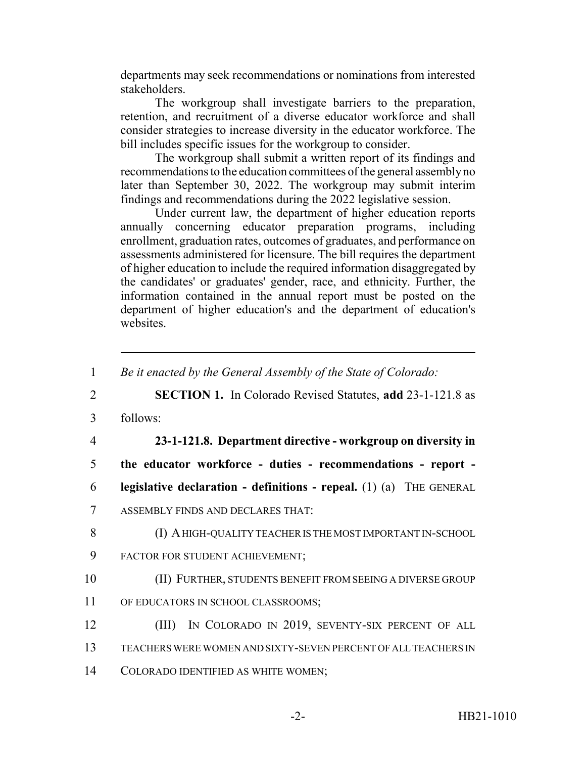departments may seek recommendations or nominations from interested stakeholders.

The workgroup shall investigate barriers to the preparation, retention, and recruitment of a diverse educator workforce and shall consider strategies to increase diversity in the educator workforce. The bill includes specific issues for the workgroup to consider.

The workgroup shall submit a written report of its findings and recommendations to the education committees of the general assembly no later than September 30, 2022. The workgroup may submit interim findings and recommendations during the 2022 legislative session.

Under current law, the department of higher education reports annually concerning educator preparation programs, including enrollment, graduation rates, outcomes of graduates, and performance on assessments administered for licensure. The bill requires the department of higher education to include the required information disaggregated by the candidates' or graduates' gender, race, and ethnicity. Further, the information contained in the annual report must be posted on the department of higher education's and the department of education's websites

<sup>1</sup> *Be it enacted by the General Assembly of the State of Colorado:* 2 **SECTION 1.** In Colorado Revised Statutes, **add** 23-1-121.8 as 3 follows: 4 **23-1-121.8. Department directive - workgroup on diversity in** 5 **the educator workforce - duties - recommendations - report -** 6 **legislative declaration - definitions - repeal.** (1) (a) THE GENERAL 7 ASSEMBLY FINDS AND DECLARES THAT: 8 (I) A HIGH-QUALITY TEACHER IS THE MOST IMPORTANT IN-SCHOOL 9 FACTOR FOR STUDENT ACHIEVEMENT; 10 (II) FURTHER, STUDENTS BENEFIT FROM SEEING A DIVERSE GROUP 11 OF EDUCATORS IN SCHOOL CLASSROOMS; 12 (III) IN COLORADO IN 2019, SEVENTY-SIX PERCENT OF ALL 13 TEACHERS WERE WOMEN AND SIXTY-SEVEN PERCENT OF ALL TEACHERS IN 14 COLORADO IDENTIFIED AS WHITE WOMEN;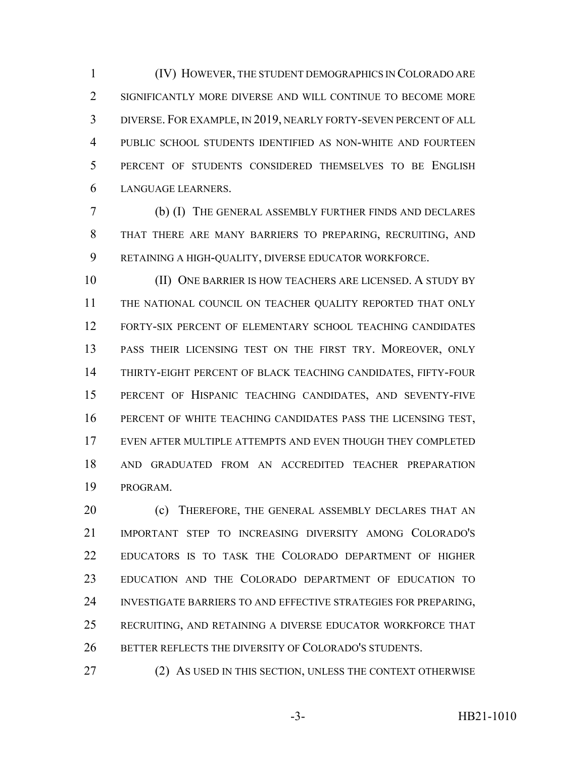(IV) HOWEVER, THE STUDENT DEMOGRAPHICS IN COLORADO ARE SIGNIFICANTLY MORE DIVERSE AND WILL CONTINUE TO BECOME MORE DIVERSE. FOR EXAMPLE, IN 2019, NEARLY FORTY-SEVEN PERCENT OF ALL PUBLIC SCHOOL STUDENTS IDENTIFIED AS NON-WHITE AND FOURTEEN PERCENT OF STUDENTS CONSIDERED THEMSELVES TO BE ENGLISH LANGUAGE LEARNERS.

 (b) (I) THE GENERAL ASSEMBLY FURTHER FINDS AND DECLARES THAT THERE ARE MANY BARRIERS TO PREPARING, RECRUITING, AND RETAINING A HIGH-QUALITY, DIVERSE EDUCATOR WORKFORCE.

**III** ONE BARRIER IS HOW TEACHERS ARE LICENSED. A STUDY BY 11 THE NATIONAL COUNCIL ON TEACHER QUALITY REPORTED THAT ONLY FORTY-SIX PERCENT OF ELEMENTARY SCHOOL TEACHING CANDIDATES PASS THEIR LICENSING TEST ON THE FIRST TRY. MOREOVER, ONLY THIRTY-EIGHT PERCENT OF BLACK TEACHING CANDIDATES, FIFTY-FOUR PERCENT OF HISPANIC TEACHING CANDIDATES, AND SEVENTY-FIVE PERCENT OF WHITE TEACHING CANDIDATES PASS THE LICENSING TEST, EVEN AFTER MULTIPLE ATTEMPTS AND EVEN THOUGH THEY COMPLETED AND GRADUATED FROM AN ACCREDITED TEACHER PREPARATION PROGRAM.

20 (c) THEREFORE, THE GENERAL ASSEMBLY DECLARES THAT AN IMPORTANT STEP TO INCREASING DIVERSITY AMONG COLORADO'S EDUCATORS IS TO TASK THE COLORADO DEPARTMENT OF HIGHER EDUCATION AND THE COLORADO DEPARTMENT OF EDUCATION TO INVESTIGATE BARRIERS TO AND EFFECTIVE STRATEGIES FOR PREPARING, RECRUITING, AND RETAINING A DIVERSE EDUCATOR WORKFORCE THAT 26 BETTER REFLECTS THE DIVERSITY OF COLORADO'S STUDENTS.

27 (2) AS USED IN THIS SECTION, UNLESS THE CONTEXT OTHERWISE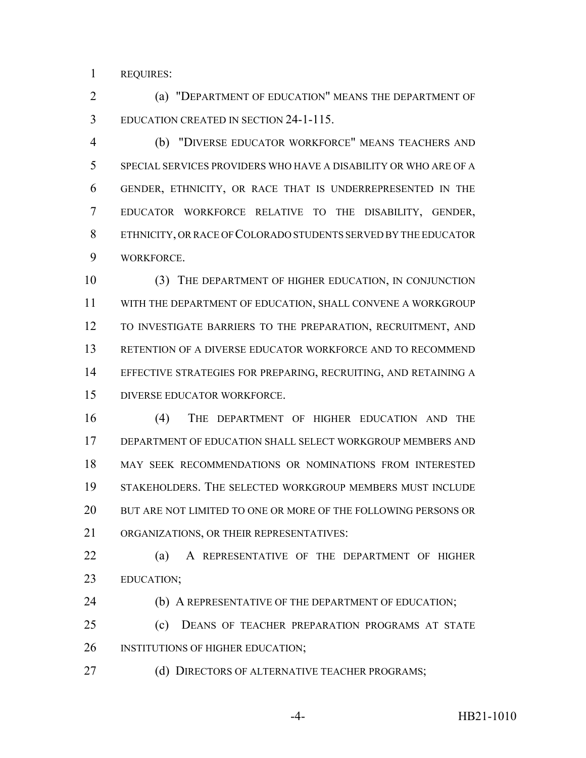REQUIRES:

 (a) "DEPARTMENT OF EDUCATION" MEANS THE DEPARTMENT OF EDUCATION CREATED IN SECTION 24-1-115.

 (b) "DIVERSE EDUCATOR WORKFORCE" MEANS TEACHERS AND SPECIAL SERVICES PROVIDERS WHO HAVE A DISABILITY OR WHO ARE OF A GENDER, ETHNICITY, OR RACE THAT IS UNDERREPRESENTED IN THE EDUCATOR WORKFORCE RELATIVE TO THE DISABILITY, GENDER, ETHNICITY, OR RACE OF COLORADO STUDENTS SERVED BY THE EDUCATOR WORKFORCE.

 (3) THE DEPARTMENT OF HIGHER EDUCATION, IN CONJUNCTION WITH THE DEPARTMENT OF EDUCATION, SHALL CONVENE A WORKGROUP TO INVESTIGATE BARRIERS TO THE PREPARATION, RECRUITMENT, AND RETENTION OF A DIVERSE EDUCATOR WORKFORCE AND TO RECOMMEND EFFECTIVE STRATEGIES FOR PREPARING, RECRUITING, AND RETAINING A DIVERSE EDUCATOR WORKFORCE.

 (4) THE DEPARTMENT OF HIGHER EDUCATION AND THE DEPARTMENT OF EDUCATION SHALL SELECT WORKGROUP MEMBERS AND MAY SEEK RECOMMENDATIONS OR NOMINATIONS FROM INTERESTED STAKEHOLDERS. THE SELECTED WORKGROUP MEMBERS MUST INCLUDE BUT ARE NOT LIMITED TO ONE OR MORE OF THE FOLLOWING PERSONS OR ORGANIZATIONS, OR THEIR REPRESENTATIVES:

 (a) A REPRESENTATIVE OF THE DEPARTMENT OF HIGHER EDUCATION;

24 (b) A REPRESENTATIVE OF THE DEPARTMENT OF EDUCATION;

 (c) DEANS OF TEACHER PREPARATION PROGRAMS AT STATE 26 INSTITUTIONS OF HIGHER EDUCATION;

27 (d) DIRECTORS OF ALTERNATIVE TEACHER PROGRAMS;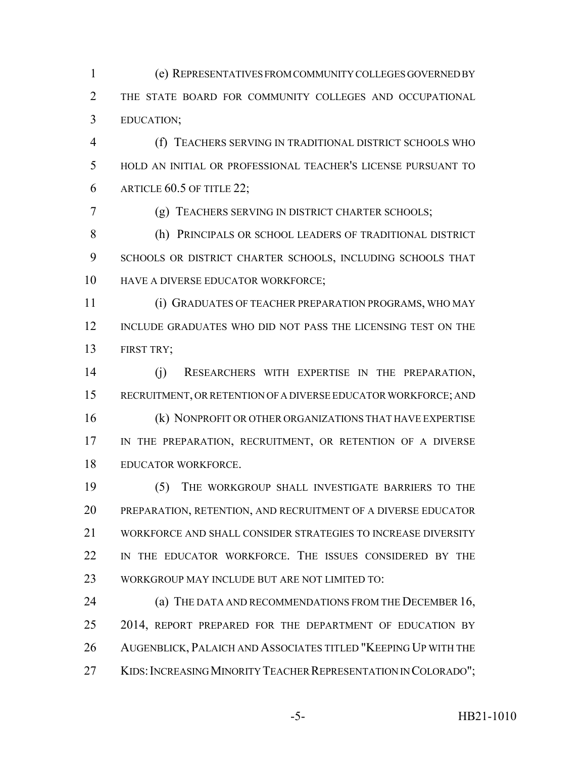(e) REPRESENTATIVES FROM COMMUNITY COLLEGES GOVERNED BY THE STATE BOARD FOR COMMUNITY COLLEGES AND OCCUPATIONAL EDUCATION;

 (f) TEACHERS SERVING IN TRADITIONAL DISTRICT SCHOOLS WHO HOLD AN INITIAL OR PROFESSIONAL TEACHER'S LICENSE PURSUANT TO ARTICLE 60.5 OF TITLE 22;

(g) TEACHERS SERVING IN DISTRICT CHARTER SCHOOLS;

 (h) PRINCIPALS OR SCHOOL LEADERS OF TRADITIONAL DISTRICT SCHOOLS OR DISTRICT CHARTER SCHOOLS, INCLUDING SCHOOLS THAT 10 HAVE A DIVERSE EDUCATOR WORKFORCE;

 (i) GRADUATES OF TEACHER PREPARATION PROGRAMS, WHO MAY INCLUDE GRADUATES WHO DID NOT PASS THE LICENSING TEST ON THE FIRST TRY;

 (j) RESEARCHERS WITH EXPERTISE IN THE PREPARATION, RECRUITMENT, OR RETENTION OF A DIVERSE EDUCATOR WORKFORCE; AND (k) NONPROFIT OR OTHER ORGANIZATIONS THAT HAVE EXPERTISE 17 IN THE PREPARATION, RECRUITMENT, OR RETENTION OF A DIVERSE EDUCATOR WORKFORCE.

 (5) THE WORKGROUP SHALL INVESTIGATE BARRIERS TO THE PREPARATION, RETENTION, AND RECRUITMENT OF A DIVERSE EDUCATOR WORKFORCE AND SHALL CONSIDER STRATEGIES TO INCREASE DIVERSITY 22 IN THE EDUCATOR WORKFORCE. THE ISSUES CONSIDERED BY THE WORKGROUP MAY INCLUDE BUT ARE NOT LIMITED TO:

**(a) THE DATA AND RECOMMENDATIONS FROM THE DECEMBER 16,** 25 2014, REPORT PREPARED FOR THE DEPARTMENT OF EDUCATION BY AUGENBLICK, PALAICH AND ASSOCIATES TITLED "KEEPING UP WITH THE 27 KIDS: INCREASING MINORITY TEACHER REPRESENTATION IN COLORADO";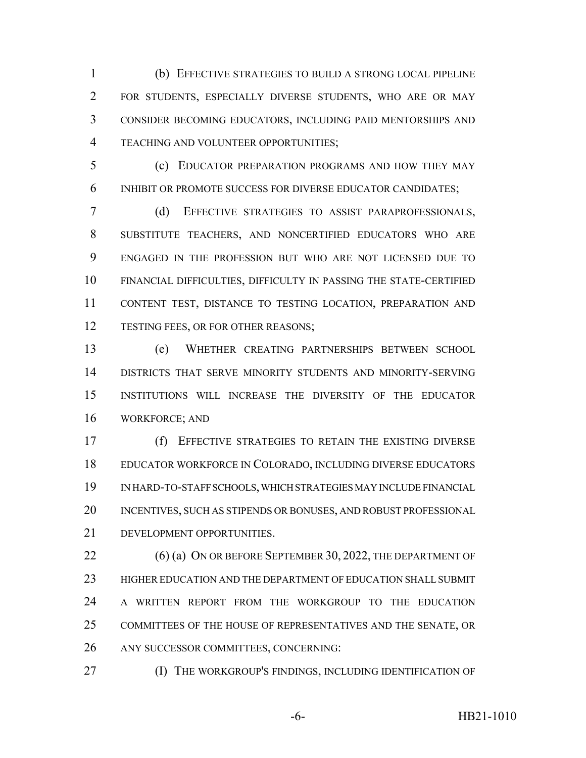(b) EFFECTIVE STRATEGIES TO BUILD A STRONG LOCAL PIPELINE FOR STUDENTS, ESPECIALLY DIVERSE STUDENTS, WHO ARE OR MAY CONSIDER BECOMING EDUCATORS, INCLUDING PAID MENTORSHIPS AND TEACHING AND VOLUNTEER OPPORTUNITIES;

 (c) EDUCATOR PREPARATION PROGRAMS AND HOW THEY MAY INHIBIT OR PROMOTE SUCCESS FOR DIVERSE EDUCATOR CANDIDATES;

 (d) EFFECTIVE STRATEGIES TO ASSIST PARAPROFESSIONALS, SUBSTITUTE TEACHERS, AND NONCERTIFIED EDUCATORS WHO ARE ENGAGED IN THE PROFESSION BUT WHO ARE NOT LICENSED DUE TO FINANCIAL DIFFICULTIES, DIFFICULTY IN PASSING THE STATE-CERTIFIED CONTENT TEST, DISTANCE TO TESTING LOCATION, PREPARATION AND 12 TESTING FEES, OR FOR OTHER REASONS;

 (e) WHETHER CREATING PARTNERSHIPS BETWEEN SCHOOL DISTRICTS THAT SERVE MINORITY STUDENTS AND MINORITY-SERVING INSTITUTIONS WILL INCREASE THE DIVERSITY OF THE EDUCATOR WORKFORCE; AND

 (f) EFFECTIVE STRATEGIES TO RETAIN THE EXISTING DIVERSE EDUCATOR WORKFORCE IN COLORADO, INCLUDING DIVERSE EDUCATORS IN HARD-TO-STAFF SCHOOLS, WHICH STRATEGIES MAY INCLUDE FINANCIAL INCENTIVES, SUCH AS STIPENDS OR BONUSES, AND ROBUST PROFESSIONAL DEVELOPMENT OPPORTUNITIES.

22 (6) (a) ON OR BEFORE SEPTEMBER 30, 2022, THE DEPARTMENT OF HIGHER EDUCATION AND THE DEPARTMENT OF EDUCATION SHALL SUBMIT A WRITTEN REPORT FROM THE WORKGROUP TO THE EDUCATION COMMITTEES OF THE HOUSE OF REPRESENTATIVES AND THE SENATE, OR ANY SUCCESSOR COMMITTEES, CONCERNING:

(I) THE WORKGROUP'S FINDINGS, INCLUDING IDENTIFICATION OF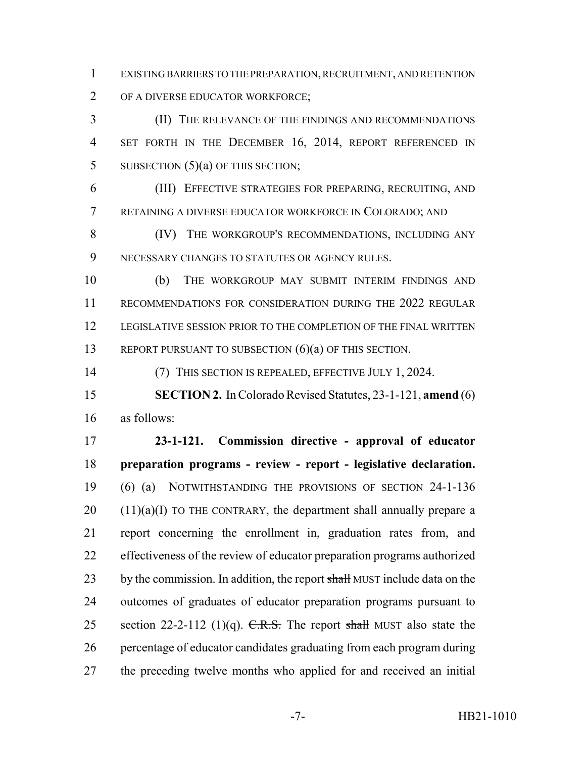EXISTING BARRIERS TO THE PREPARATION, RECRUITMENT, AND RETENTION

OF A DIVERSE EDUCATOR WORKFORCE;

 (II) THE RELEVANCE OF THE FINDINGS AND RECOMMENDATIONS 4 SET FORTH IN THE DECEMBER 16, 2014, REPORT REFERENCED IN 5 SUBSECTION  $(5)(a)$  OF THIS SECTION;

 (III) EFFECTIVE STRATEGIES FOR PREPARING, RECRUITING, AND RETAINING A DIVERSE EDUCATOR WORKFORCE IN COLORADO; AND

 (IV) THE WORKGROUP'S RECOMMENDATIONS, INCLUDING ANY NECESSARY CHANGES TO STATUTES OR AGENCY RULES.

 (b) THE WORKGROUP MAY SUBMIT INTERIM FINDINGS AND RECOMMENDATIONS FOR CONSIDERATION DURING THE 2022 REGULAR LEGISLATIVE SESSION PRIOR TO THE COMPLETION OF THE FINAL WRITTEN 13 REPORT PURSUANT TO SUBSECTION (6)(a) OF THIS SECTION.

(7) THIS SECTION IS REPEALED, EFFECTIVE JULY 1, 2024.

 **SECTION 2.** In Colorado Revised Statutes, 23-1-121, **amend** (6) as follows:

 **23-1-121. Commission directive - approval of educator preparation programs - review - report - legislative declaration.** (6) (a) NOTWITHSTANDING THE PROVISIONS OF SECTION 24-1-136 (11)(a)(I) TO THE CONTRARY, the department shall annually prepare a report concerning the enrollment in, graduation rates from, and effectiveness of the review of educator preparation programs authorized 23 by the commission. In addition, the report shall MUST include data on the outcomes of graduates of educator preparation programs pursuant to 25 section 22-2-112 (1)(q).  $C.R.S.$  The report shall MUST also state the percentage of educator candidates graduating from each program during the preceding twelve months who applied for and received an initial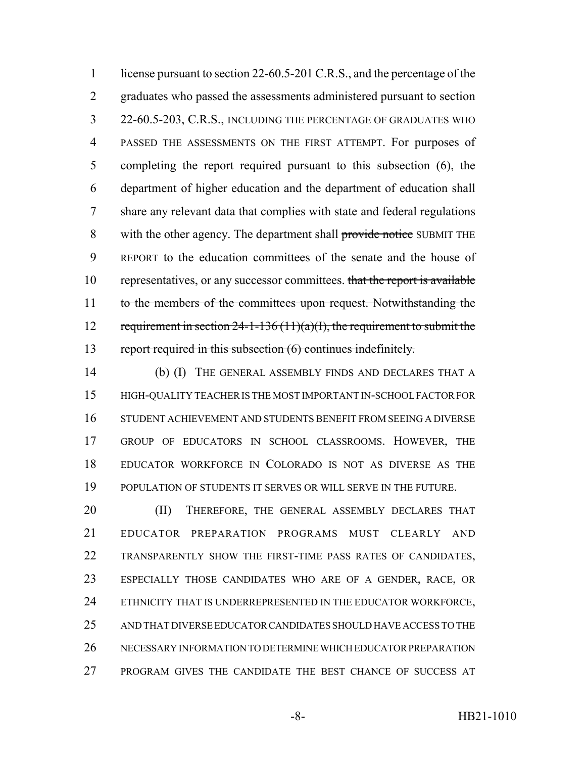1 license pursuant to section 22-60.5-201 <del>C.R.S.,</del> and the percentage of the graduates who passed the assessments administered pursuant to section 3 22-60.5-203, C.R.S., INCLUDING THE PERCENTAGE OF GRADUATES WHO PASSED THE ASSESSMENTS ON THE FIRST ATTEMPT. For purposes of completing the report required pursuant to this subsection (6), the department of higher education and the department of education shall share any relevant data that complies with state and federal regulations 8 with the other agency. The department shall provide notice SUBMIT THE REPORT to the education committees of the senate and the house of 10 representatives, or any successor committees. that the report is available 11 to the members of the committees upon request. Notwithstanding the 12 requirement in section  $24-1-136(11)(a)(1)$ , the requirement to submit the report required in this subsection (6) continues indefinitely.

 (b) (I) THE GENERAL ASSEMBLY FINDS AND DECLARES THAT A HIGH-QUALITY TEACHER IS THE MOST IMPORTANT IN-SCHOOL FACTOR FOR STUDENT ACHIEVEMENT AND STUDENTS BENEFIT FROM SEEING A DIVERSE GROUP OF EDUCATORS IN SCHOOL CLASSROOMS. HOWEVER, THE EDUCATOR WORKFORCE IN COLORADO IS NOT AS DIVERSE AS THE POPULATION OF STUDENTS IT SERVES OR WILL SERVE IN THE FUTURE.

20 (II) THEREFORE, THE GENERAL ASSEMBLY DECLARES THAT EDUCATOR PREPARATION PROGRAMS MUST CLEARLY AND TRANSPARENTLY SHOW THE FIRST-TIME PASS RATES OF CANDIDATES, ESPECIALLY THOSE CANDIDATES WHO ARE OF A GENDER, RACE, OR 24 ETHNICITY THAT IS UNDERREPRESENTED IN THE EDUCATOR WORKFORCE, AND THAT DIVERSE EDUCATOR CANDIDATES SHOULD HAVE ACCESS TO THE NECESSARY INFORMATION TO DETERMINE WHICH EDUCATOR PREPARATION PROGRAM GIVES THE CANDIDATE THE BEST CHANCE OF SUCCESS AT